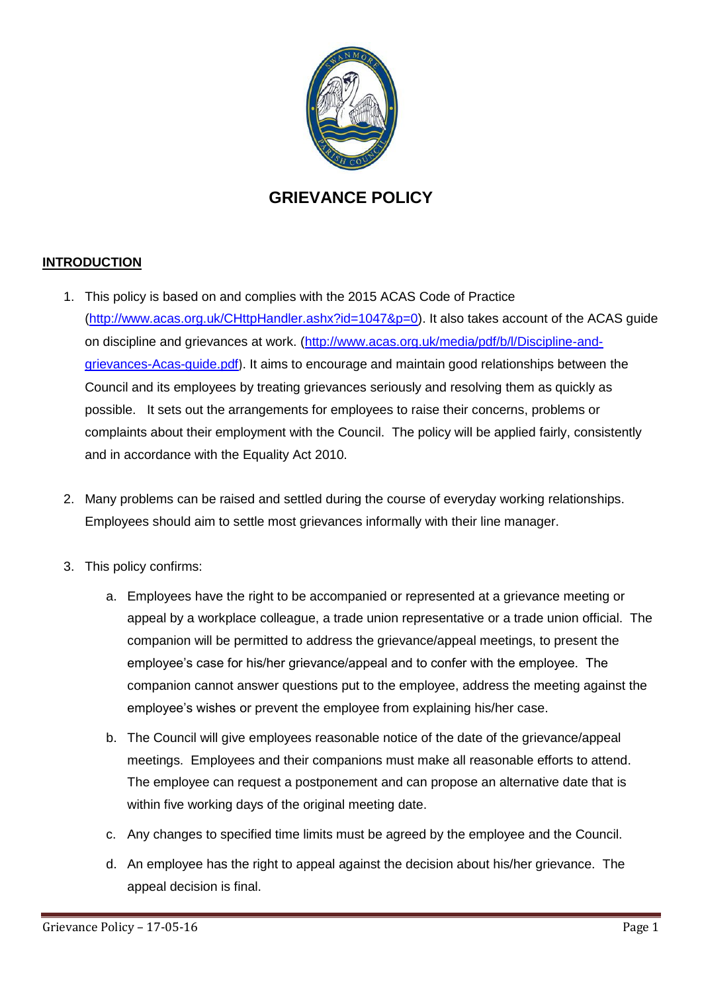

## **GRIEVANCE POLICY**

## **INTRODUCTION**

- 1. This policy is based on and complies with the 2015 ACAS Code of Practice [\(http://www.acas.org.uk/CHttpHandler.ashx?id=1047&p=0\)](http://www.acas.org.uk/CHttpHandler.ashx?id=1047&p=0). It also takes account of the ACAS guide on discipline and grievances at work. [\(http://www.acas.org.uk/media/pdf/b/l/Discipline-and](http://www.acas.org.uk/media/pdf/b/l/Discipline-and-grievances-Acas-guide.pdf)[grievances-Acas-guide.pdf](http://www.acas.org.uk/media/pdf/b/l/Discipline-and-grievances-Acas-guide.pdf)). It aims to encourage and maintain good relationships between the Council and its employees by treating grievances seriously and resolving them as quickly as possible. It sets out the arrangements for employees to raise their concerns, problems or complaints about their employment with the Council. The policy will be applied fairly, consistently and in accordance with the Equality Act 2010.
- 2. Many problems can be raised and settled during the course of everyday working relationships. Employees should aim to settle most grievances informally with their line manager.
- 3. This policy confirms:
	- a. Employees have the right to be accompanied or represented at a grievance meeting or appeal by a workplace colleague, a trade union representative or a trade union official. The companion will be permitted to address the grievance/appeal meetings, to present the employee's case for his/her grievance/appeal and to confer with the employee. The companion cannot answer questions put to the employee, address the meeting against the employee's wishes or prevent the employee from explaining his/her case.
	- b. The Council will give employees reasonable notice of the date of the grievance/appeal meetings. Employees and their companions must make all reasonable efforts to attend. The employee can request a postponement and can propose an alternative date that is within five working days of the original meeting date.
	- c. Any changes to specified time limits must be agreed by the employee and the Council.
	- d. An employee has the right to appeal against the decision about his/her grievance. The appeal decision is final.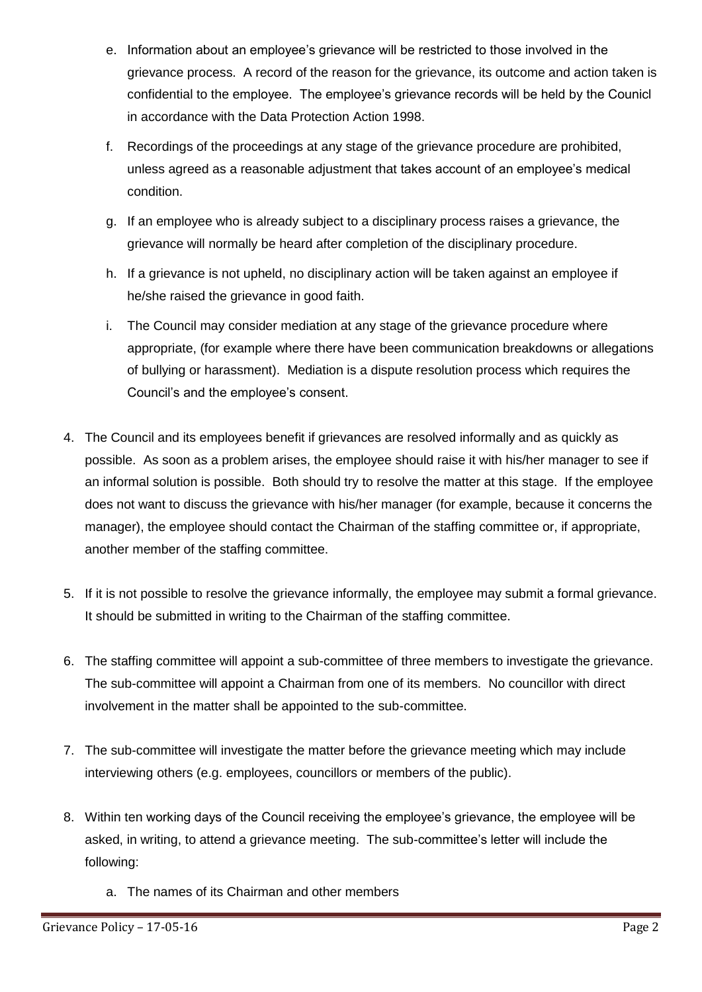- e. Information about an employee's grievance will be restricted to those involved in the grievance process. A record of the reason for the grievance, its outcome and action taken is confidential to the employee. The employee's grievance records will be held by the Counicl in accordance with the Data Protection Action 1998.
- f. Recordings of the proceedings at any stage of the grievance procedure are prohibited, unless agreed as a reasonable adjustment that takes account of an employee's medical condition.
- g. If an employee who is already subject to a disciplinary process raises a grievance, the grievance will normally be heard after completion of the disciplinary procedure.
- h. If a grievance is not upheld, no disciplinary action will be taken against an employee if he/she raised the grievance in good faith.
- i. The Council may consider mediation at any stage of the grievance procedure where appropriate, (for example where there have been communication breakdowns or allegations of bullying or harassment). Mediation is a dispute resolution process which requires the Council's and the employee's consent.
- 4. The Council and its employees benefit if grievances are resolved informally and as quickly as possible. As soon as a problem arises, the employee should raise it with his/her manager to see if an informal solution is possible. Both should try to resolve the matter at this stage. If the employee does not want to discuss the grievance with his/her manager (for example, because it concerns the manager), the employee should contact the Chairman of the staffing committee or, if appropriate, another member of the staffing committee.
- 5. If it is not possible to resolve the grievance informally, the employee may submit a formal grievance. It should be submitted in writing to the Chairman of the staffing committee.
- 6. The staffing committee will appoint a sub-committee of three members to investigate the grievance. The sub-committee will appoint a Chairman from one of its members. No councillor with direct involvement in the matter shall be appointed to the sub-committee.
- 7. The sub-committee will investigate the matter before the grievance meeting which may include interviewing others (e.g. employees, councillors or members of the public).
- 8. Within ten working days of the Council receiving the employee's grievance, the employee will be asked, in writing, to attend a grievance meeting. The sub-committee's letter will include the following:
	- a. The names of its Chairman and other members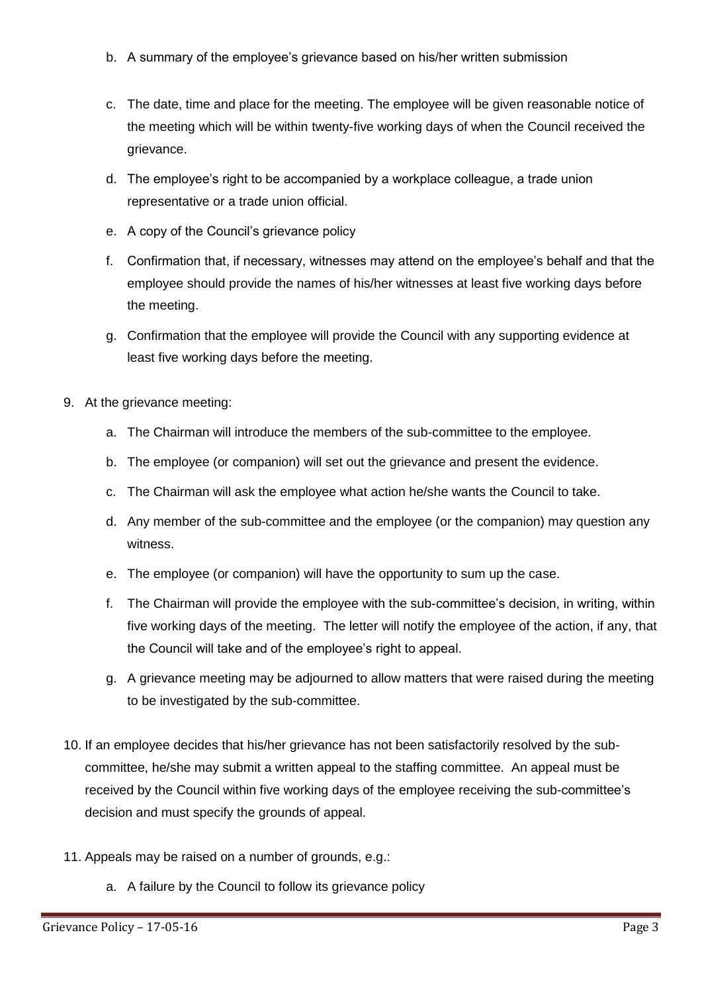- b. A summary of the employee's grievance based on his/her written submission
- c. The date, time and place for the meeting. The employee will be given reasonable notice of the meeting which will be within twenty-five working days of when the Council received the grievance.
- d. The employee's right to be accompanied by a workplace colleague, a trade union representative or a trade union official.
- e. A copy of the Council's grievance policy
- f. Confirmation that, if necessary, witnesses may attend on the employee's behalf and that the employee should provide the names of his/her witnesses at least five working days before the meeting.
- g. Confirmation that the employee will provide the Council with any supporting evidence at least five working days before the meeting.
- 9. At the grievance meeting:
	- a. The Chairman will introduce the members of the sub-committee to the employee.
	- b. The employee (or companion) will set out the grievance and present the evidence.
	- c. The Chairman will ask the employee what action he/she wants the Council to take.
	- d. Any member of the sub-committee and the employee (or the companion) may question any witness.
	- e. The employee (or companion) will have the opportunity to sum up the case.
	- f. The Chairman will provide the employee with the sub-committee's decision, in writing, within five working days of the meeting. The letter will notify the employee of the action, if any, that the Council will take and of the employee's right to appeal.
	- g. A grievance meeting may be adjourned to allow matters that were raised during the meeting to be investigated by the sub-committee.
- 10. If an employee decides that his/her grievance has not been satisfactorily resolved by the subcommittee, he/she may submit a written appeal to the staffing committee. An appeal must be received by the Council within five working days of the employee receiving the sub-committee's decision and must specify the grounds of appeal.
- 11. Appeals may be raised on a number of grounds, e.g.:
	- a. A failure by the Council to follow its grievance policy